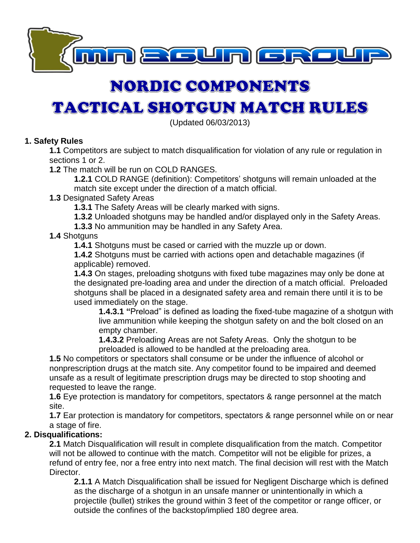

# NORDIC COMPONENTS

# TACTICAL SHOTGUN MATCH RULES

(Updated 06/03/2013)

## **1. Safety Rules**

**1.1** Competitors are subject to match disqualification for violation of any rule or regulation in sections 1 or 2.

**1.2** The match will be run on COLD RANGES.

**1.2.1** COLD RANGE (definition): Competitors' shotguns will remain unloaded at the match site except under the direction of a match official.

#### **1.3** Designated Safety Areas

**1.3.1** The Safety Areas will be clearly marked with signs.

**1.3.2** Unloaded shotguns may be handled and/or displayed only in the Safety Areas.

**1.3.3** No ammunition may be handled in any Safety Area.

#### **1.4** Shotguns

**1.4.1** Shotguns must be cased or carried with the muzzle up or down.

**1.4.2** Shotguns must be carried with actions open and detachable magazines (if applicable) removed.

**1.4.3** On stages, preloading shotguns with fixed tube magazines may only be done at the designated pre-loading area and under the direction of a match official. Preloaded shotguns shall be placed in a designated safety area and remain there until it is to be used immediately on the stage.

**1.4.3.1 "**Preload" is defined as loading the fixed-tube magazine of a shotgun with live ammunition while keeping the shotgun safety on and the bolt closed on an empty chamber.

**1.4.3.2** Preloading Areas are not Safety Areas. Only the shotgun to be preloaded is allowed to be handled at the preloading area.

**1.5** No competitors or spectators shall consume or be under the influence of alcohol or nonprescription drugs at the match site. Any competitor found to be impaired and deemed unsafe as a result of legitimate prescription drugs may be directed to stop shooting and requested to leave the range.

**1.6** Eye protection is mandatory for competitors, spectators & range personnel at the match site.

**1.7** Ear protection is mandatory for competitors, spectators & range personnel while on or near a stage of fire.

## **2. Disqualifications:**

**2.1** Match Disqualification will result in complete disqualification from the match. Competitor will not be allowed to continue with the match. Competitor will not be eligible for prizes, a refund of entry fee, nor a free entry into next match. The final decision will rest with the Match Director.

**2.1.1** A Match Disqualification shall be issued for Negligent Discharge which is defined as the discharge of a shotgun in an unsafe manner or unintentionally in which a projectile (bullet) strikes the ground within 3 feet of the competitor or range officer, or outside the confines of the backstop/implied 180 degree area.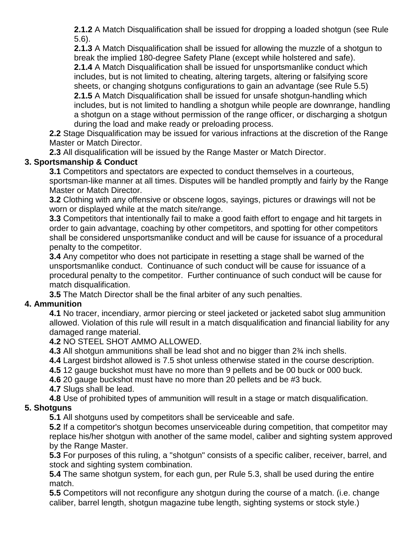**2.1.2** A Match Disqualification shall be issued for dropping a loaded shotgun (see Rule 5.6).

**2.1.3** A Match Disqualification shall be issued for allowing the muzzle of a shotgun to break the implied 180-degree Safety Plane (except while holstered and safe). **2.1.4** A Match Disqualification shall be issued for unsportsmanlike conduct which includes, but is not limited to cheating, altering targets, altering or falsifying score sheets, or changing shotguns configurations to gain an advantage (see Rule 5.5) **2.1.5** A Match Disqualification shall be issued for unsafe shotgun-handling which includes, but is not limited to handling a shotgun while people are downrange, handling a shotgun on a stage without permission of the range officer, or discharging a shotgun during the load and make ready or preloading process.

**2.2** Stage Disqualification may be issued for various infractions at the discretion of the Range Master or Match Director.

**2.3** All disqualification will be issued by the Range Master or Match Director.

# **3. Sportsmanship & Conduct**

**3.1** Competitors and spectators are expected to conduct themselves in a courteous, sportsman-like manner at all times. Disputes will be handled promptly and fairly by the Range Master or Match Director.

**3.2** Clothing with any offensive or obscene logos, sayings, pictures or drawings will not be worn or displayed while at the match site/range.

**3.3** Competitors that intentionally fail to make a good faith effort to engage and hit targets in order to gain advantage, coaching by other competitors, and spotting for other competitors shall be considered unsportsmanlike conduct and will be cause for issuance of a procedural penalty to the competitor.

**3.4** Any competitor who does not participate in resetting a stage shall be warned of the unsportsmanlike conduct. Continuance of such conduct will be cause for issuance of a procedural penalty to the competitor. Further continuance of such conduct will be cause for match disqualification.

**3.5** The Match Director shall be the final arbiter of any such penalties.

# **4. Ammunition**

**4.1** No tracer, incendiary, armor piercing or steel jacketed or jacketed sabot slug ammunition allowed. Violation of this rule will result in a match disqualification and financial liability for any damaged range material.

**4.2** NO STEEL SHOT AMMO ALLOWED.

**4.3** All shotgun ammunitions shall be lead shot and no bigger than 2¾ inch shells.

**4.4** Largest birdshot allowed is 7.5 shot unless otherwise stated in the course description.

**4.5** 12 gauge buckshot must have no more than 9 pellets and be 00 buck or 000 buck.

**4.6** 20 gauge buckshot must have no more than 20 pellets and be #3 buck.

**4.7** Slugs shall be lead.

**4.8** Use of prohibited types of ammunition will result in a stage or match disqualification.

## **5. Shotguns**

**5.1** All shotguns used by competitors shall be serviceable and safe.

**5.2** If a competitor's shotgun becomes unserviceable during competition, that competitor may replace his/her shotgun with another of the same model, caliber and sighting system approved by the Range Master.

**5.3** For purposes of this ruling, a "shotgun" consists of a specific caliber, receiver, barrel, and stock and sighting system combination.

**5.4** The same shotgun system, for each gun, per Rule 5.3, shall be used during the entire match.

**5.5** Competitors will not reconfigure any shotgun during the course of a match. (i.e. change caliber, barrel length, shotgun magazine tube length, sighting systems or stock style.)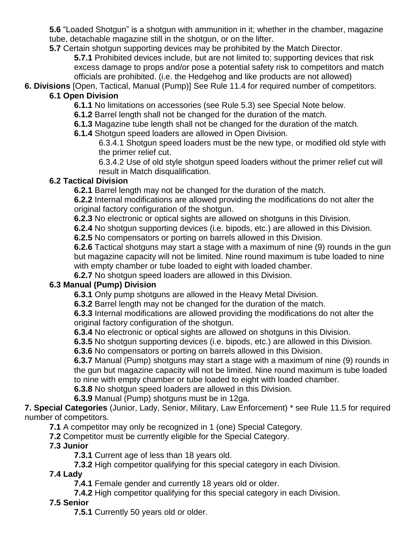**5.6** "Loaded Shotgun" is a shotgun with ammunition in it; whether in the chamber, magazine tube, detachable magazine still in the shotgun, or on the lifter.

**5.7** Certain shotgun supporting devices may be prohibited by the Match Director.

**5.7.1** Prohibited devices include, but are not limited to; supporting devices that risk excess damage to props and/or pose a potential safety risk to competitors and match officials are prohibited. (i.e. the Hedgehog and like products are not allowed)

**6. Divisions** [Open, Tactical, Manual (Pump)] See Rule 11.4 for required number of competitors.

## **6.1 Open Division**

- **6.1.1** No limitations on accessories (see Rule 5.3) see Special Note below.
- **6.1.2** Barrel length shall not be changed for the duration of the match.
- **6.1.3** Magazine tube length shall not be changed for the duration of the match.
- **6.1.4** Shotgun speed loaders are allowed in Open Division.

6.3.4.1 Shotgun speed loaders must be the new type, or modified old style with the primer relief cut.

6.3.4.2 Use of old style shotgun speed loaders without the primer relief cut will result in Match disqualification.

## **6.2 Tactical Division**

**6.2.1** Barrel length may not be changed for the duration of the match.

**6.2.2** Internal modifications are allowed providing the modifications do not alter the original factory configuration of the shotgun.

**6.2.3** No electronic or optical sights are allowed on shotguns in this Division.

**6.2.4** No shotgun supporting devices (i.e. bipods, etc.) are allowed in this Division.

**6.2.5** No compensators or porting on barrels allowed in this Division.

**6.2.6** Tactical shotguns may start a stage with a maximum of nine (9) rounds in the gun but magazine capacity will not be limited. Nine round maximum is tube loaded to nine with empty chamber or tube loaded to eight with loaded chamber.

**6.2.7** No shotgun speed loaders are allowed in this Division.

## **6.3 Manual (Pump) Division**

**6.3.1** Only pump shotguns are allowed in the Heavy Metal Division.

**6.3.2** Barrel length may not be changed for the duration of the match.

**6.3.3** Internal modifications are allowed providing the modifications do not alter the original factory configuration of the shotgun.

**6.3.4** No electronic or optical sights are allowed on shotguns in this Division.

**6.3.5** No shotgun supporting devices (i.e. bipods, etc.) are allowed in this Division.

**6.3.6** No compensators or porting on barrels allowed in this Division.

**6.3.7** Manual (Pump) shotguns may start a stage with a maximum of nine (9) rounds in the gun but magazine capacity will not be limited. Nine round maximum is tube loaded to nine with empty chamber or tube loaded to eight with loaded chamber.

**6.3.8** No shotgun speed loaders are allowed in this Division.

**6.3.9** Manual (Pump) shotguns must be in 12ga.

**7. Special Categories** (Junior, Lady, Senior, Military, Law Enforcement) \* see Rule 11.5 for required number of competitors.

**7.1** A competitor may only be recognized in 1 (one) Special Category.

**7.2** Competitor must be currently eligible for the Special Category.

**7.3 Junior**

**7.3.1** Current age of less than 18 years old.

**7.3.2** High competitor qualifying for this special category in each Division.

**7.4 Lady**

**7.4.1** Female gender and currently 18 years old or older.

**7.4.2** High competitor qualifying for this special category in each Division.

**7.5 Senior**

**7.5.1** Currently 50 years old or older.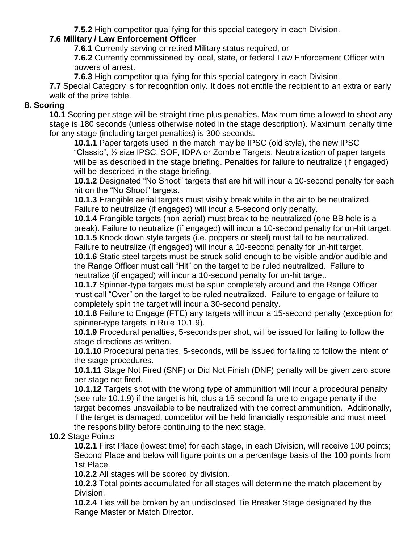**7.5.2** High competitor qualifying for this special category in each Division.

## **7.6 Military / Law Enforcement Officer**

**7.6.1** Currently serving or retired Military status required, or

**7.6.2** Currently commissioned by local, state, or federal Law Enforcement Officer with powers of arrest.

**7.6.3** High competitor qualifying for this special category in each Division.

**7.7** Special Category is for recognition only. It does not entitle the recipient to an extra or early walk of the prize table.

## **8. Scoring**

**10.1** Scoring per stage will be straight time plus penalties. Maximum time allowed to shoot any stage is 180 seconds (unless otherwise noted in the stage description). Maximum penalty time for any stage (including target penalties) is 300 seconds.

**10.1.1** Paper targets used in the match may be IPSC (old style), the new IPSC "Classic", ½ size IPSC, SOF, IDPA or Zombie Targets. Neutralization of paper targets will be as described in the stage briefing. Penalties for failure to neutralize (if engaged) will be described in the stage briefing.

**10.1.2** Designated "No Shoot" targets that are hit will incur a 10-second penalty for each hit on the "No Shoot" targets.

**10.1.3** Frangible aerial targets must visibly break while in the air to be neutralized. Failure to neutralize (if engaged) will incur a 5-second only penalty.

**10.1.4** Frangible targets (non-aerial) must break to be neutralized (one BB hole is a break). Failure to neutralize (if engaged) will incur a 10-second penalty for un-hit target. **10.1.5** Knock down style targets (i.e. poppers or steel) must fall to be neutralized.

Failure to neutralize (if engaged) will incur a 10-second penalty for un-hit target. **10.1.6** Static steel targets must be struck solid enough to be visible and/or audible and the Range Officer must call "Hit" on the target to be ruled neutralized. Failure to neutralize (if engaged) will incur a 10-second penalty for un-hit target.

**10.1.7** Spinner-type targets must be spun completely around and the Range Officer must call "Over" on the target to be ruled neutralized. Failure to engage or failure to completely spin the target will incur a 30-second penalty.

**10.1.8** Failure to Engage (FTE) any targets will incur a 15-second penalty (exception for spinner-type targets in Rule 10.1.9).

**10.1.9** Procedural penalties, 5-seconds per shot, will be issued for failing to follow the stage directions as written.

**10.1.10** Procedural penalties, 5-seconds, will be issued for failing to follow the intent of the stage procedures.

**10.1.11** Stage Not Fired (SNF) or Did Not Finish (DNF) penalty will be given zero score per stage not fired.

**10.1.12** Targets shot with the wrong type of ammunition will incur a procedural penalty (see rule 10.1.9) if the target is hit, plus a 15-second failure to engage penalty if the target becomes unavailable to be neutralized with the correct ammunition. Additionally, if the target is damaged, competitor will be held financially responsible and must meet the responsibility before continuing to the next stage.

**10.2** Stage Points

**10.2.1** First Place (lowest time) for each stage, in each Division, will receive 100 points; Second Place and below will figure points on a percentage basis of the 100 points from 1st Place.

**10.2.2** All stages will be scored by division.

**10.2.3** Total points accumulated for all stages will determine the match placement by Division.

**10.2.4** Ties will be broken by an undisclosed Tie Breaker Stage designated by the Range Master or Match Director.